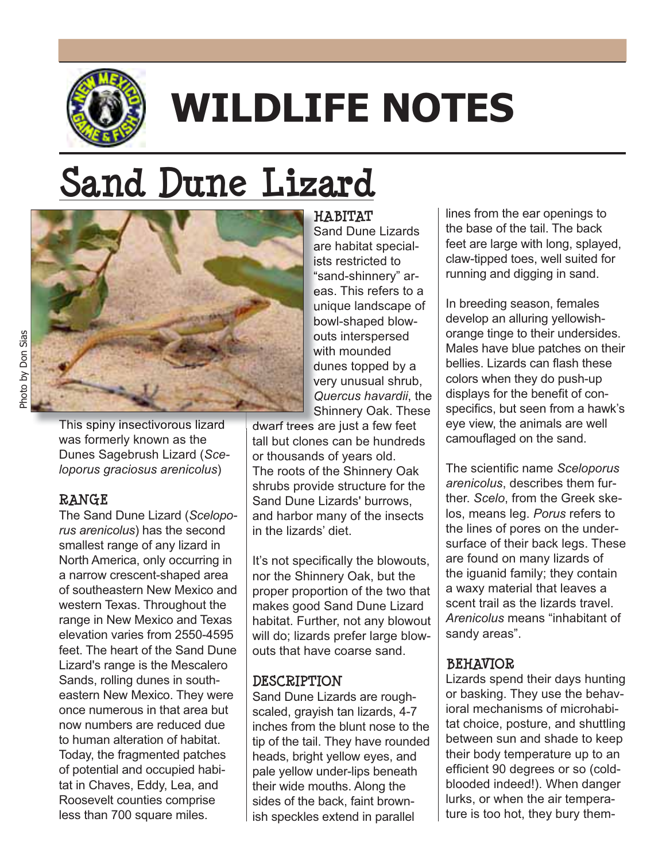

# **WILDLIFE NOTES**

# **Sand Dune Lizard**



This spiny insectivorous lizard  $\parallel$  dwarf trees a was formerly known as the Dunes Sagebrush Lizard (*Sceloporus graciosus arenicolus*)

#### **RANGE**

The Sand Dune Lizard (*Sceloporus arenicolus*) has the second smallest range of any lizard in North America, only occurring in a narrow crescent-shaped area of southeastern New Mexico and western Texas. Throughout the range in New Mexico and Texas elevation varies from 2550-4595 feet. The heart of the Sand Dune Lizard's range is the Mescalero Sands, rolling dunes in southeastern New Mexico. They were once numerous in that area but now numbers are reduced due to human alteration of habitat. Today, the fragmented patches of potential and occupied habitat in Chaves, Eddy, Lea, and Roosevelt counties comprise less than 700 square miles.

**HABITAT H** Sand Dune Lizards S are habitat special-ar ists restricted to "sand-shinnery" ar-s eas. This refers to a ea unique landscape of n bowl-shaped blow-bo outs interspersed ou with mounded dunes topped by a very unusual shrub, *Quercus havardii*, the *Q* Shinnery Oak. These S

dwarf trees are just a few feet tall but clones can be hundreds or thousands of years old. The roots of the Shinnery Oak shrubs provide structure for the Sand Dune Lizards' burrows, and harbor many of the insects in the lizards' diet.

It's not specifically the blowouts, nor the Shinnery Oak, but the proper proportion of the two that makes good Sand Dune Lizard habitat. Further, not any blowout will do; lizards prefer large blowouts that have coarse sand.

#### **DESCRIPTION**

Sand Dune Lizards are roughscaled, grayish tan lizards, 4-7 inches from the blunt nose to the tip of the tail. They have rounded heads, bright yellow eyes, and pale yellow under-lips beneath their wide mouths. Along the sides of the back, faint brownish speckles extend in parallel

lines from the ear openings to the base of the tail. The back feet are large with long, splayed, claw-tipped toes, well suited for running and digging in sand.

In breeding season, females develop an alluring yellowishorange tinge to their undersides. Males have blue patches on their bellies. Lizards can flash these colors when they do push-up displays for the benefit of conspecifics, but seen from a hawk's eye view, the animals are well camouflaged on the sand.

The scientific name Sceloporus *arenicolus*, describes them further. *Scelo*, from the Greek skelos, means leg. *Porus* refers to the lines of pores on the undersurface of their back legs. These are found on many lizards of the iguanid family; they contain a waxy material that leaves a scent trail as the lizards travel. *Arenicolus* means "inhabitant of sandy areas".

# **BEHAVIOR**

Lizards spend their days hunting or basking. They use the behavioral mechanisms of microhabitat choice, posture, and shuttling between sun and shade to keep their body temperature up to an efficient 90 degrees or so (coldblooded indeed!). When danger lurks, or when the air temperature is too hot, they bury them